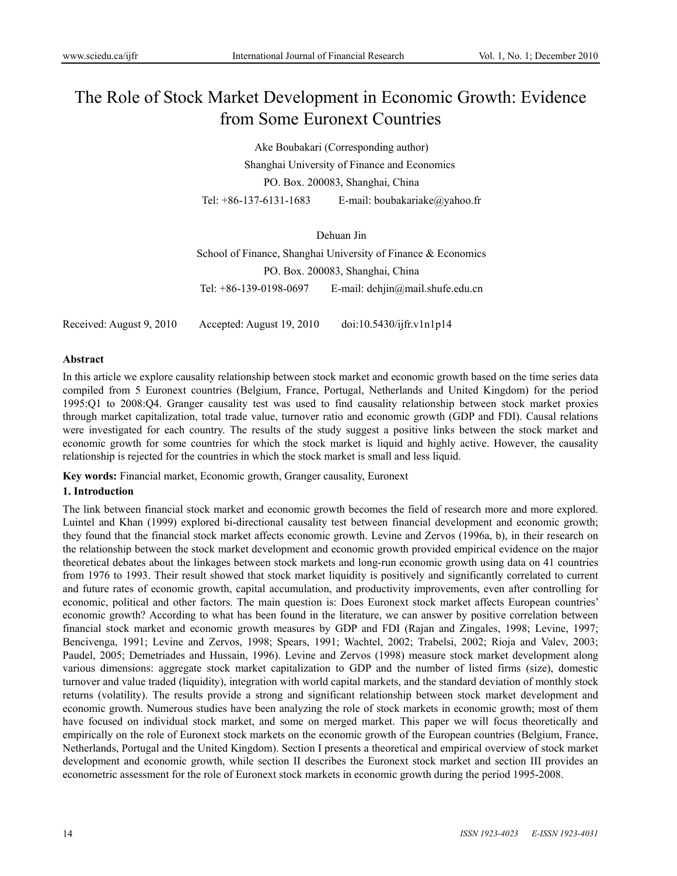# The Role of Stock Market Development in Economic Growth: Evidence from Some Euronext Countries

Ake Boubakari (Corresponding author) Shanghai University of Finance and Economics PO. Box. 200083, Shanghai, China Tel: +86-137-6131-1683 E-mail: boubakariake@yahoo.fr

Dehuan Jin School of Finance, Shanghai University of Finance & Economics PO. Box. 200083, Shanghai, China Tel: +86-139-0198-0697 E-mail: dehjin@mail.shufe.edu.cn

Received: August 9, 2010 Accepted: August 19, 2010 doi:10.5430/ijfr.v1n1p14

#### **Abstract**

In this article we explore causality relationship between stock market and economic growth based on the time series data compiled from 5 Euronext countries (Belgium, France, Portugal, Netherlands and United Kingdom) for the period 1995:Q1 to 2008:Q4. Granger causality test was used to find causality relationship between stock market proxies through market capitalization, total trade value, turnover ratio and economic growth (GDP and FDI). Causal relations were investigated for each country. The results of the study suggest a positive links between the stock market and economic growth for some countries for which the stock market is liquid and highly active. However, the causality relationship is rejected for the countries in which the stock market is small and less liquid.

**Key words:** Financial market, Economic growth, Granger causality, Euronext

# **1. Introduction**

The link between financial stock market and economic growth becomes the field of research more and more explored. Luintel and Khan (1999) explored bi-directional causality test between financial development and economic growth; they found that the financial stock market affects economic growth. Levine and Zervos (1996a, b), in their research on the relationship between the stock market development and economic growth provided empirical evidence on the major theoretical debates about the linkages between stock markets and long-run economic growth using data on 41 countries from 1976 to 1993. Their result showed that stock market liquidity is positively and significantly correlated to current and future rates of economic growth, capital accumulation, and productivity improvements, even after controlling for economic, political and other factors. The main question is: Does Euronext stock market affects European countries' economic growth? According to what has been found in the literature, we can answer by positive correlation between financial stock market and economic growth measures by GDP and FDI (Rajan and Zingales, 1998; Levine, 1997; Bencivenga, 1991; Levine and Zervos, 1998; Spears, 1991; Wachtel, 2002; Trabelsi, 2002; Rioja and Valev, 2003; Paudel, 2005; Demetriades and Hussain, 1996). Levine and Zervos (1998) measure stock market development along various dimensions: aggregate stock market capitalization to GDP and the number of listed firms (size), domestic turnover and value traded (liquidity), integration with world capital markets, and the standard deviation of monthly stock returns (volatility). The results provide a strong and significant relationship between stock market development and economic growth. Numerous studies have been analyzing the role of stock markets in economic growth; most of them have focused on individual stock market, and some on merged market. This paper we will focus theoretically and empirically on the role of Euronext stock markets on the economic growth of the European countries (Belgium, France, Netherlands, Portugal and the United Kingdom). Section I presents a theoretical and empirical overview of stock market development and economic growth, while section II describes the Euronext stock market and section III provides an econometric assessment for the role of Euronext stock markets in economic growth during the period 1995-2008.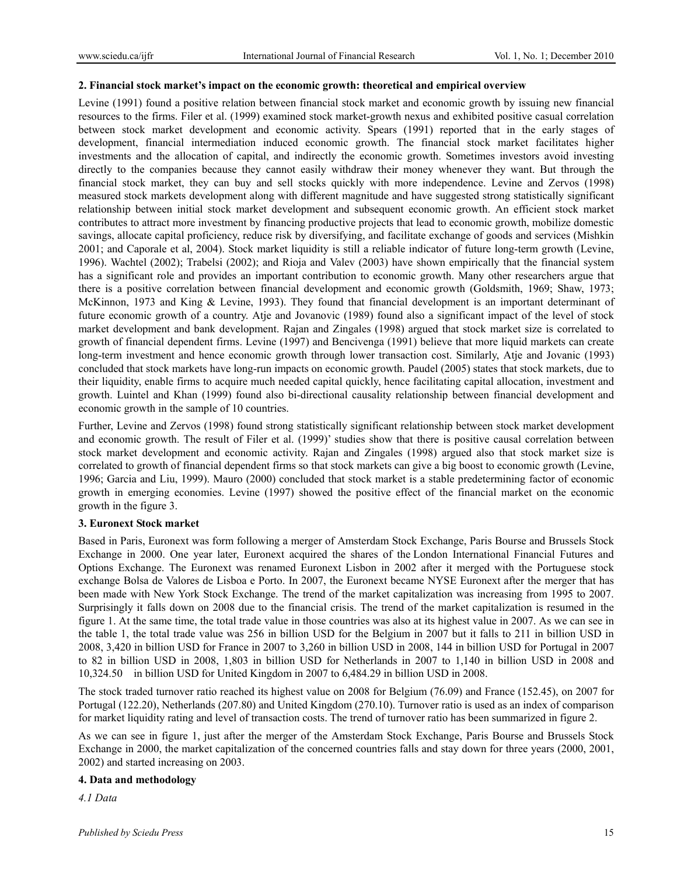### **2. Financial stock market's impact on the economic growth: theoretical and empirical overview**

Levine (1991) found a positive relation between financial stock market and economic growth by issuing new financial resources to the firms. Filer et al. (1999) examined stock market-growth nexus and exhibited positive casual correlation between stock market development and economic activity. Spears (1991) reported that in the early stages of development, financial intermediation induced economic growth. The financial stock market facilitates higher investments and the allocation of capital, and indirectly the economic growth. Sometimes investors avoid investing directly to the companies because they cannot easily withdraw their money whenever they want. But through the financial stock market, they can buy and sell stocks quickly with more independence. Levine and Zervos (1998) measured stock markets development along with different magnitude and have suggested strong statistically significant relationship between initial stock market development and subsequent economic growth. An efficient stock market contributes to attract more investment by financing productive projects that lead to economic growth, mobilize domestic savings, allocate capital proficiency, reduce risk by diversifying, and facilitate exchange of goods and services (Mishkin 2001; and Caporale et al, 2004). Stock market liquidity is still a reliable indicator of future long-term growth (Levine, 1996). Wachtel (2002); Trabelsi (2002); and Rioja and Valev (2003) have shown empirically that the financial system has a significant role and provides an important contribution to economic growth. Many other researchers argue that there is a positive correlation between financial development and economic growth (Goldsmith, 1969; Shaw, 1973; McKinnon, 1973 and King & Levine, 1993). They found that financial development is an important determinant of future economic growth of a country. Atje and Jovanovic (1989) found also a significant impact of the level of stock market development and bank development. Rajan and Zingales (1998) argued that stock market size is correlated to growth of financial dependent firms. Levine (1997) and Bencivenga (1991) believe that more liquid markets can create long-term investment and hence economic growth through lower transaction cost. Similarly, Atje and Jovanic (1993) concluded that stock markets have long-run impacts on economic growth. Paudel (2005) states that stock markets, due to their liquidity, enable firms to acquire much needed capital quickly, hence facilitating capital allocation, investment and growth. Luintel and Khan (1999) found also bi-directional causality relationship between financial development and economic growth in the sample of 10 countries.

Further, Levine and Zervos (1998) found strong statistically significant relationship between stock market development and economic growth. The result of Filer et al. (1999)' studies show that there is positive causal correlation between stock market development and economic activity. Rajan and Zingales (1998) argued also that stock market size is correlated to growth of financial dependent firms so that stock markets can give a big boost to economic growth (Levine, 1996; Garcia and Liu, 1999). Mauro (2000) concluded that stock market is a stable predetermining factor of economic growth in emerging economies. Levine (1997) showed the positive effect of the financial market on the economic growth in the figure 3.

## **3. Euronext Stock market**

Based in Paris, Euronext was form following a merger of Amsterdam Stock Exchange, Paris Bourse and Brussels Stock Exchange in 2000. One year later, Euronext acquired the shares of the London International Financial Futures and Options Exchange. The Euronext was renamed Euronext Lisbon in 2002 after it merged with the Portuguese stock exchange Bolsa de Valores de Lisboa e Porto. In 2007, the Euronext became NYSE Euronext after the merger that has been made with New York Stock Exchange. The trend of the market capitalization was increasing from 1995 to 2007. Surprisingly it falls down on 2008 due to the financial crisis. The trend of the market capitalization is resumed in the figure 1. At the same time, the total trade value in those countries was also at its highest value in 2007. As we can see in the table 1, the total trade value was 256 in billion USD for the Belgium in 2007 but it falls to 211 in billion USD in 2008, 3,420 in billion USD for France in 2007 to 3,260 in billion USD in 2008, 144 in billion USD for Portugal in 2007 to 82 in billion USD in 2008, 1,803 in billion USD for Netherlands in 2007 to 1,140 in billion USD in 2008 and 10,324.50 in billion USD for United Kingdom in 2007 to 6,484.29 in billion USD in 2008.

The stock traded turnover ratio reached its highest value on 2008 for Belgium (76.09) and France (152.45), on 2007 for Portugal (122.20), Netherlands (207.80) and United Kingdom (270.10). Turnover ratio is used as an index of comparison for market liquidity rating and level of transaction costs. The trend of turnover ratio has been summarized in figure 2.

As we can see in figure 1, just after the merger of the Amsterdam Stock Exchange, Paris Bourse and Brussels Stock Exchange in 2000, the market capitalization of the concerned countries falls and stay down for three years (2000, 2001, 2002) and started increasing on 2003.

#### **4. Data and methodology**

*4.1 Data*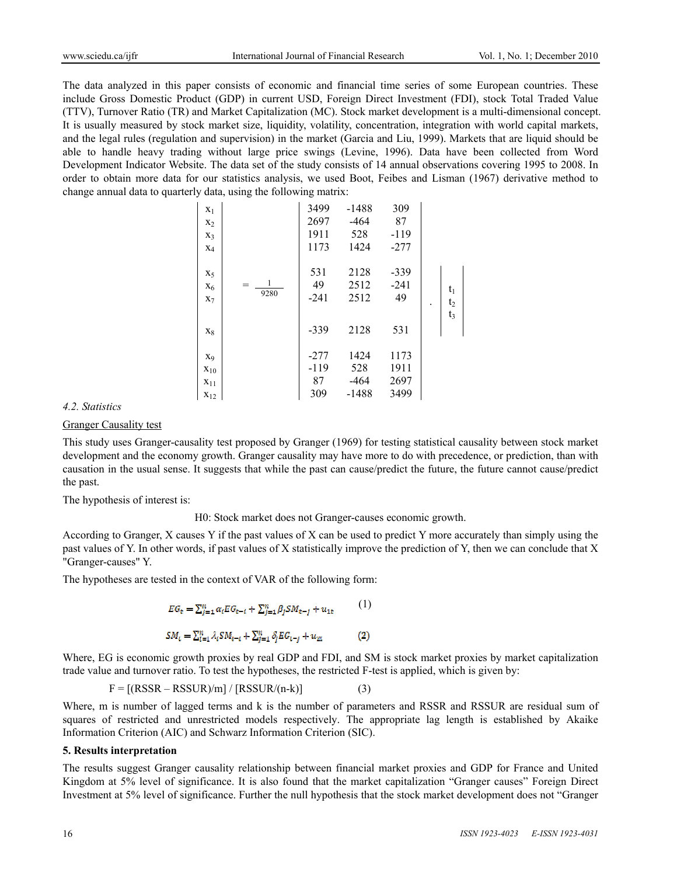The data analyzed in this paper consists of economic and financial time series of some European countries. These include Gross Domestic Product (GDP) in current USD, Foreign Direct Investment (FDI), stock Total Traded Value (TTV), Turnover Ratio (TR) and Market Capitalization (MC). Stock market development is a multi-dimensional concept. It is usually measured by stock market size, liquidity, volatility, concentration, integration with world capital markets, and the legal rules (regulation and supervision) in the market (Garcia and Liu, 1999). Markets that are liquid should be able to handle heavy trading without large price swings (Levine, 1996). Data have been collected from Word Development Indicator Website. The data set of the study consists of 14 annual observations covering 1995 to 2008. In order to obtain more data for our statistics analysis, we used Boot, Feibes and Lisman (1967) derivative method to change annual data to quarterly data, using the following matrix:

| $X_1$             |          | 3499   | $-1488$ | 309    |                |  |
|-------------------|----------|--------|---------|--------|----------------|--|
| $X_2$             |          | 2697   | $-464$  | 87     |                |  |
| $X_3$             |          | 1911   | 528     | $-119$ |                |  |
| $X_4$             |          | 1173   | 1424    | $-277$ |                |  |
|                   |          |        |         |        |                |  |
| $X_5$             |          | 531    | 2128    | $-339$ |                |  |
| $X_6$             | 1<br>$=$ | 49     | 2512    | $-241$ | $t_1$          |  |
| $X_7$             | 9280     | $-241$ | 2512    | 49     | t <sub>2</sub> |  |
|                   |          |        |         |        | $t_3$          |  |
| $X_8$             |          | $-339$ | 2128    | 531    |                |  |
| X <sub>9</sub>    |          | $-277$ | 1424    | 1173   |                |  |
| $\mathbf{x}_{10}$ |          | $-119$ | 528     | 1911   |                |  |
| $\mathbf{x}_{11}$ |          | 87     | -464    | 2697   |                |  |
| $\mathbf{x}_{12}$ |          | 309    | $-1488$ | 3499   |                |  |

#### *4.2. Statistics*

# **Granger Causality test**

This study uses Granger-causality test proposed by Granger (1969) for testing statistical causality between stock market development and the economy growth. Granger causality may have more to do with precedence, or prediction, than with causation in the usual sense. It suggests that while the past can cause/predict the future, the future cannot cause/predict the past.

The hypothesis of interest is:

H0: Stock market does not Granger-causes economic growth.

According to Granger, X causes Y if the past values of X can be used to predict Y more accurately than simply using the past values of Y. In other words, if past values of X statistically improve the prediction of Y, then we can conclude that X "Granger-causes" Y.

The hypotheses are tested in the context of VAR of the following form:

$$
EG_t = \sum_{j=1}^n \alpha_i EG_{t-t} + \sum_{j=1}^n \beta_j SM_{t-j} + u_{1t}
$$
  
\n
$$
SM_t = \sum_{i=1}^n \lambda_i SM_{t-i} + \sum_{j=1}^n \delta_j EG_{t-j} + u_{2t}
$$
 (2)

Where, EG is economic growth proxies by real GDP and FDI, and SM is stock market proxies by market capitalization trade value and turnover ratio. To test the hypotheses, the restricted F-test is applied, which is given by:

 $F = [(RSSR - RSSUR)/m] / [RSSUR/(n-k)]$  (3)

Where, m is number of lagged terms and k is the number of parameters and RSSR and RSSUR are residual sum of squares of restricted and unrestricted models respectively. The appropriate lag length is established by Akaike Information Criterion (AIC) and Schwarz Information Criterion (SIC).

#### **5. Results interpretation**

The results suggest Granger causality relationship between financial market proxies and GDP for France and United Kingdom at 5% level of significance. It is also found that the market capitalization "Granger causes" Foreign Direct Investment at 5% level of significance. Further the null hypothesis that the stock market development does not "Granger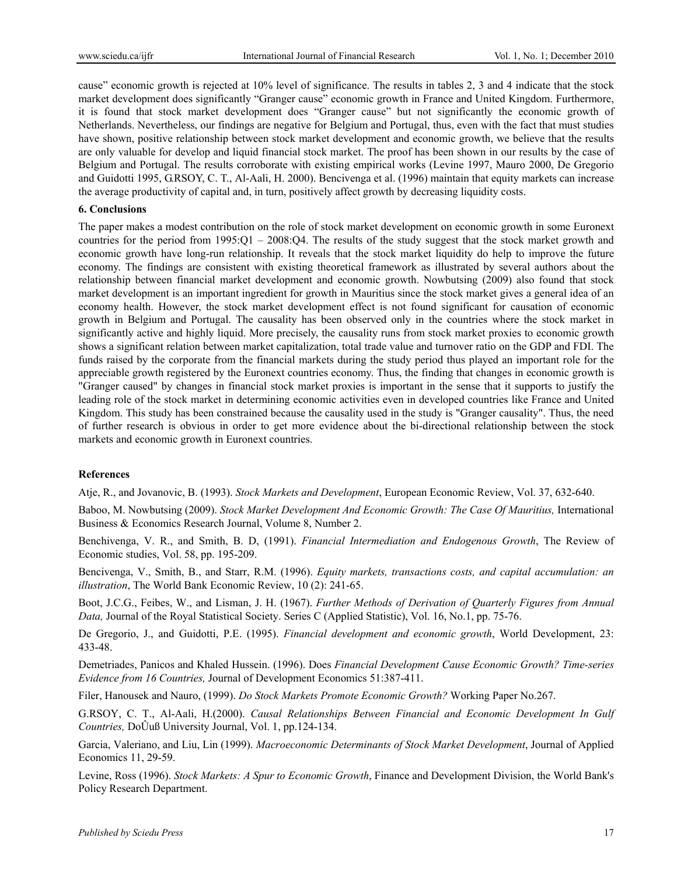cause" economic growth is rejected at 10% level of significance. The results in tables 2, 3 and 4 indicate that the stock market development does significantly "Granger cause" economic growth in France and United Kingdom. Furthermore, it is found that stock market development does "Granger cause" but not significantly the economic growth of Netherlands. Nevertheless, our findings are negative for Belgium and Portugal, thus, even with the fact that must studies have shown, positive relationship between stock market development and economic growth, we believe that the results are only valuable for develop and liquid financial stock market. The proof has been shown in our results by the case of Belgium and Portugal. The results corroborate with existing empirical works (Levine 1997, Mauro 2000, De Gregorio and Guidotti 1995, G.RSOY, C. T., Al-Aali, H. 2000). Bencivenga et al. (1996) maintain that equity markets can increase the average productivity of capital and, in turn, positively affect growth by decreasing liquidity costs.

#### **6. Conclusions**

The paper makes a modest contribution on the role of stock market development on economic growth in some Euronext countries for the period from 1995:Q1 – 2008:Q4. The results of the study suggest that the stock market growth and economic growth have long-run relationship. It reveals that the stock market liquidity do help to improve the future economy. The findings are consistent with existing theoretical framework as illustrated by several authors about the relationship between financial market development and economic growth. Nowbutsing (2009) also found that stock market development is an important ingredient for growth in Mauritius since the stock market gives a general idea of an economy health. However, the stock market development effect is not found significant for causation of economic growth in Belgium and Portugal. The causality has been observed only in the countries where the stock market in significantly active and highly liquid. More precisely, the causality runs from stock market proxies to economic growth shows a significant relation between market capitalization, total trade value and turnover ratio on the GDP and FDI. The funds raised by the corporate from the financial markets during the study period thus played an important role for the appreciable growth registered by the Euronext countries economy. Thus, the finding that changes in economic growth is "Granger caused" by changes in financial stock market proxies is important in the sense that it supports to justify the leading role of the stock market in determining economic activities even in developed countries like France and United Kingdom. This study has been constrained because the causality used in the study is "Granger causality". Thus, the need of further research is obvious in order to get more evidence about the bi-directional relationship between the stock markets and economic growth in Euronext countries.

#### **References**

Atje, R., and Jovanovic, B. (1993). *Stock Markets and Development*, European Economic Review, Vol. 37, 632-640.

Baboo, M. Nowbutsing (2009). Stock Market Development And Economic Growth: The Case Of Mauritius, International Business & Economics Research Journal, Volume 8, Number 2.

Benchivenga, V. R., and Smith, B. D, (1991). *Financial Intermediation and Endogenous Growth*, The Review of Economic studies, Vol. 58, pp. 195-209.

Bencivenga, V., Smith, B., and Starr, R.M. (1996). *Equity markets, transactions costs, and capital accumulation: an illustration*, The World Bank Economic Review, 10 (2): 241-65.

Boot, J.C.G., Feibes, W., and Lisman, J. H. (1967). *Further Methods of Derivation of Quarterly Figures from Annual Data,* Journal of the Royal Statistical Society. Series C (Applied Statistic), Vol. 16, No.1, pp. 75-76.

De Gregorio, J., and Guidotti, P.E. (1995). *Financial development and economic growth*, World Development, 23: 433-48.

Demetriades, Panicos and Khaled Hussein. (1996). Does *Financial Development Cause Economic Growth? Time-series Evidence from 16 Countries,* Journal of Development Economics 51:387-411.

Filer, Hanousek and Nauro, (1999). *Do Stock Markets Promote Economic Growth?* Working Paper No.267.

G.RSOY, C. T., Al-Aali, H.(2000). *Causal Relationships Between Financial and Economic Development In Gulf Countries,* DoÛuß University Journal, Vol. 1, pp.124-134.

Garcia, Valeriano, and Liu, Lin (1999). *Macroeconomic Determinants of Stock Market Development*, Journal of Applied Economics 11, 29-59.

Levine, Ross (1996). *Stock Markets: A Spur to Economic Growth*, Finance and Development Division, the World Bank's Policy Research Department.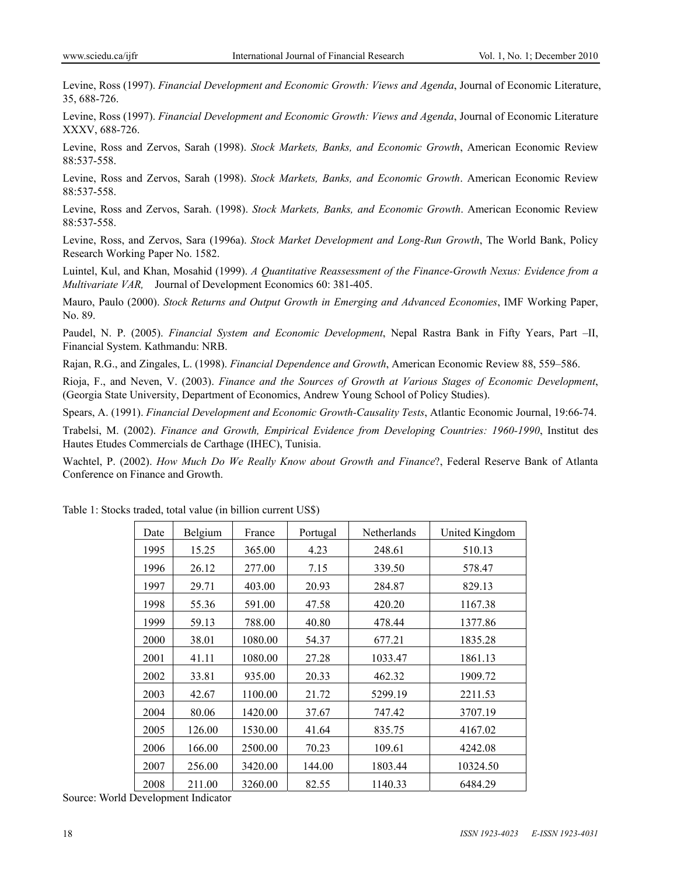Levine, Ross (1997). *Financial Development and Economic Growth: Views and Agenda*, Journal of Economic Literature, 35, 688-726.

Levine, Ross (1997). *Financial Development and Economic Growth: Views and Agenda*, Journal of Economic Literature XXXV, 688-726.

Levine, Ross and Zervos, Sarah (1998). *Stock Markets, Banks, and Economic Growth*, American Economic Review 88:537-558.

Levine, Ross and Zervos, Sarah (1998). *Stock Markets, Banks, and Economic Growth*. American Economic Review 88:537-558.

Levine, Ross and Zervos, Sarah. (1998). *Stock Markets, Banks, and Economic Growth*. American Economic Review 88:537-558.

Levine, Ross, and Zervos, Sara (1996a). *Stock Market Development and Long-Run Growth*, The World Bank, Policy Research Working Paper No. 1582.

Luintel, Kul, and Khan, Mosahid (1999). *A Quantitative Reassessment of the Finance-Growth Nexus: Evidence from a Multivariate VAR,* Journal of Development Economics 60: 381-405.

Mauro, Paulo (2000). *Stock Returns and Output Growth in Emerging and Advanced Economies*, IMF Working Paper, No. 89.

Paudel, N. P. (2005). *Financial System and Economic Development*, Nepal Rastra Bank in Fifty Years, Part –II, Financial System. Kathmandu: NRB.

Rajan, R.G., and Zingales, L. (1998). *Financial Dependence and Growth*, American Economic Review 88, 559–586.

Rioja, F., and Neven, V. (2003). *Finance and the Sources of Growth at Various Stages of Economic Development*, (Georgia State University, Department of Economics, Andrew Young School of Policy Studies).

Spears, A. (1991). *Financial Development and Economic Growth-Causality Tests*, Atlantic Economic Journal, 19:66-74.

Trabelsi, M. (2002). *Finance and Growth, Empirical Evidence from Developing Countries: 1960-1990*, Institut des Hautes Etudes Commercials de Carthage (IHEC), Tunisia.

Wachtel, P. (2002). *How Much Do We Really Know about Growth and Finance*?, Federal Reserve Bank of Atlanta Conference on Finance and Growth.

| Date | Belgium | France  | Portugal | Netherlands | United Kingdom |
|------|---------|---------|----------|-------------|----------------|
| 1995 | 15.25   | 365.00  | 4.23     | 248.61      | 510.13         |
| 1996 | 26.12   | 277.00  | 7.15     | 339.50      | 578.47         |
| 1997 | 29.71   | 403.00  | 20.93    | 284.87      | 829.13         |
| 1998 | 55.36   | 591.00  | 47.58    | 420.20      | 1167.38        |
| 1999 | 59.13   | 788.00  | 40.80    | 478.44      | 1377.86        |
| 2000 | 38.01   | 1080.00 | 54.37    | 677.21      | 1835.28        |
| 2001 | 41.11   | 1080.00 | 27.28    | 1033.47     | 1861.13        |
| 2002 | 33.81   | 935.00  | 20.33    | 462.32      | 1909.72        |
| 2003 | 42.67   | 1100.00 | 21.72    | 5299.19     | 2211.53        |
| 2004 | 80.06   | 1420.00 | 37.67    | 747.42      | 3707.19        |
| 2005 | 126.00  | 1530.00 | 41.64    | 835.75      | 4167.02        |
| 2006 | 166.00  | 2500.00 | 70.23    | 109.61      | 4242.08        |
| 2007 | 256.00  | 3420.00 | 144.00   | 1803.44     | 10324.50       |
| 2008 | 211.00  | 3260.00 | 82.55    | 1140.33     | 6484.29        |

Table 1: Stocks traded, total value (in billion current US\$)

Source: World Development Indicator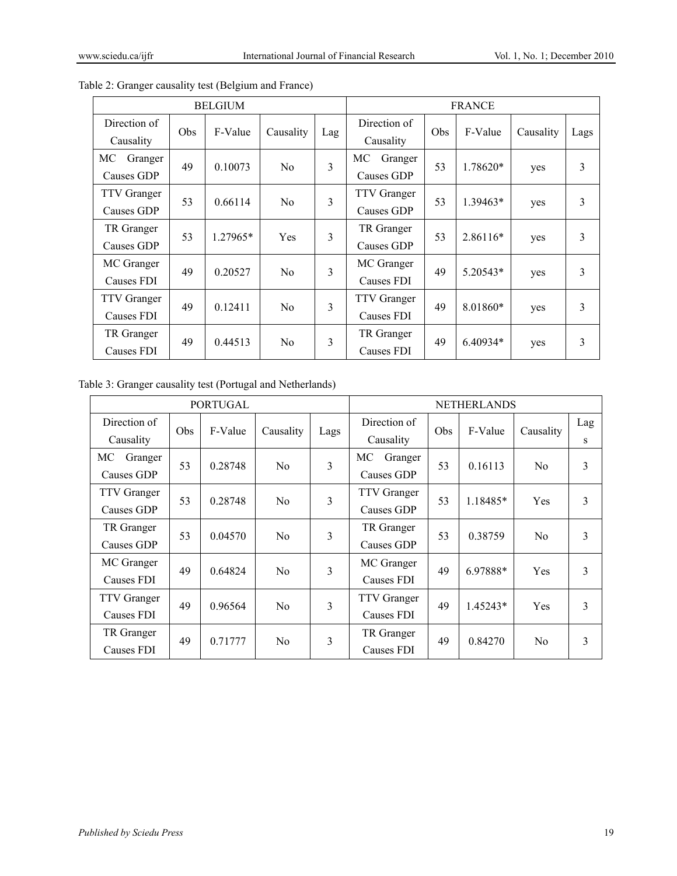| <b>BELGIUM</b>                   |     |          |                |     | <b>FRANCE</b>                    |     |            |           |      |
|----------------------------------|-----|----------|----------------|-----|----------------------------------|-----|------------|-----------|------|
| Direction of<br>Causality        | Obs | F-Value  | Causality      | Lag | Direction of<br>Causality        | Obs | F-Value    | Causality | Lags |
| МC<br>Granger<br>Causes GDP      | 49  | 0.10073  | N <sub>0</sub> | 3   | МC<br>Granger<br>Causes GDP      | 53  | 1.78620*   | yes       | 3    |
| <b>TTV</b> Granger<br>Causes GDP | 53  | 0.66114  | N <sub>0</sub> | 3   | <b>TTV</b> Granger<br>Causes GDP | 53  | $1.39463*$ | yes       | 3    |
| TR Granger<br>Causes GDP         | 53  | 1.27965* | <b>Yes</b>     | 3   | TR Granger<br>Causes GDP         | 53  | 2.86116*   | yes       | 3    |
| MC Granger<br>Causes FDI         | 49  | 0.20527  | N <sub>0</sub> | 3   | MC Granger<br>Causes FDI         | 49  | $5.20543*$ | yes       | 3    |
| <b>TTV</b> Granger<br>Causes FDI | 49  | 0.12411  | No             | 3   | <b>TTV</b> Granger<br>Causes FDI | 49  | 8.01860*   | yes       | 3    |
| TR Granger<br>Causes FDI         | 49  | 0.44513  | N <sub>0</sub> | 3   | TR Granger<br>Causes FDI         | 49  | 6.40934*   | yes       | 3    |

Table 2: Granger causality test (Belgium and France)

Table 3: Granger causality test (Portugal and Netherlands)

| <b>PORTUGAL</b>                  |     |         |                |      | <b>NETHERLANDS</b>               |     |          |                |          |
|----------------------------------|-----|---------|----------------|------|----------------------------------|-----|----------|----------------|----------|
| Direction of<br>Causality        | Obs | F-Value | Causality      | Lags | Direction of<br>Causality        | Obs | F-Value  | Causality      | Lag<br>S |
| МC<br>Granger<br>Causes GDP      | 53  | 0.28748 | N <sub>0</sub> | 3    | МC<br>Granger<br>Causes GDP      | 53  | 0.16113  | N <sub>0</sub> | 3        |
| <b>TTV</b> Granger<br>Causes GDP | 53  | 0.28748 | N <sub>0</sub> | 3    | <b>TTV</b> Granger<br>Causes GDP | 53  | 1.18485* | Yes            | 3        |
| TR Granger<br>Causes GDP         | 53  | 0.04570 | No             | 3    | TR Granger<br>Causes GDP         | 53  | 0.38759  | N <sub>0</sub> | 3        |
| MC Granger<br>Causes FDI         | 49  | 0.64824 | N <sub>0</sub> | 3    | MC Granger<br>Causes FDI         | 49  | 6.97888* | Yes            | 3        |
| TTV Granger<br>Causes FDI        | 49  | 0.96564 | N <sub>0</sub> | 3    | <b>TTV</b> Granger<br>Causes FDI | 49  | 1.45243* | Yes            | 3        |
| TR Granger<br>Causes FDI         | 49  | 0.71777 | N <sub>0</sub> | 3    | TR Granger<br>Causes FDI         | 49  | 0.84270  | N <sub>0</sub> | 3        |